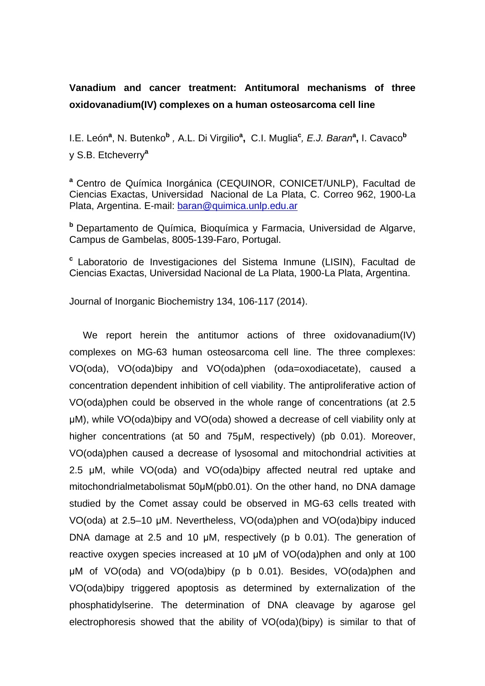# **Vanadium and cancer treatment: Antitumoral mechanisms of three oxidovanadium(IV) complexes on a human osteosarcoma cell line**

I.E. León**<sup>a</sup>** , N. Butenko**<sup>b</sup>** *,* A.L. Di Virgilio**<sup>a</sup> ,** C.I. Muglia**<sup>c</sup>** *, E.J. Baran***<sup>a</sup> ,** I. Cavaco**<sup>b</sup>** y S.B. Etcheverry**<sup>a</sup>**

**<sup>a</sup>**Centro de Química Inorgánica (CEQUINOR, CONICET/UNLP), Facultad de Ciencias Exactas, Universidad Nacional de La Plata, C. Correo 962, 1900-La Plata, Argentina. E-mail: [baran@quimica.unlp.edu.ar](mailto:baran@quimica.unlp.edu.ar)

**b** Departamento de Química. Bioquímica y Farmacia, Universidad de Algarve, Campus de Gambelas, 8005-139-Faro, Portugal.

**<sup>c</sup>** Laboratorio de Investigaciones del Sistema Inmune (LISIN), Facultad de Ciencias Exactas, Universidad Nacional de La Plata, 1900-La Plata, Argentina.

Journal of Inorganic Biochemistry 134, 106-117 (2014).

We report herein the antitumor actions of three oxidovanadium(IV) complexes on MG-63 human osteosarcoma cell line. The three complexes: VO(oda), VO(oda)bipy and VO(oda)phen (oda=oxodiacetate), caused a concentration dependent inhibition of cell viability. The antiproliferative action of VO(oda)phen could be observed in the whole range of concentrations (at 2.5 μM), while VO(oda)bipy and VO(oda) showed a decrease of cell viability only at higher concentrations (at 50 and 75µM, respectively) (pb 0.01). Moreover, VO(oda)phen caused a decrease of lysosomal and mitochondrial activities at 2.5 μM, while VO(oda) and VO(oda)bipy affected neutral red uptake and mitochondrialmetabolismat 50μM(pb0.01). On the other hand, no DNA damage studied by the Comet assay could be observed in MG-63 cells treated with VO(oda) at 2.5–10 μM. Nevertheless, VO(oda)phen and VO(oda)bipy induced DNA damage at 2.5 and 10 μM, respectively (p b 0.01). The generation of reactive oxygen species increased at 10 μM of VO(oda)phen and only at 100 μM of VO(oda) and VO(oda)bipy (p b 0.01). Besides, VO(oda)phen and VO(oda)bipy triggered apoptosis as determined by externalization of the phosphatidylserine. The determination of DNA cleavage by agarose gel electrophoresis showed that the ability of VO(oda)(bipy) is similar to that of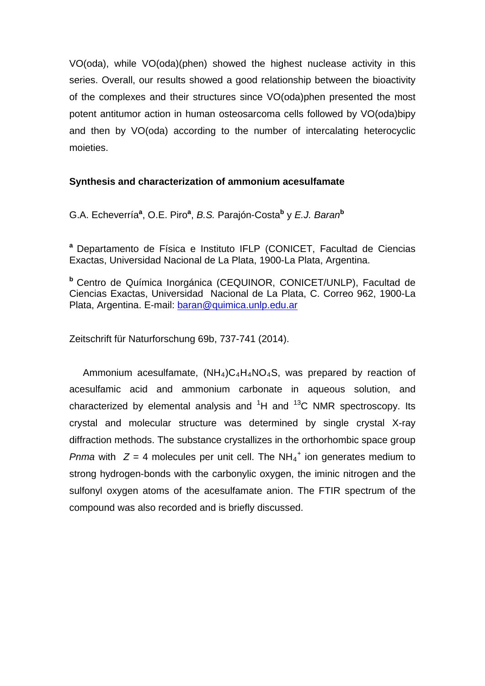VO(oda), while VO(oda)(phen) showed the highest nuclease activity in this series. Overall, our results showed a good relationship between the bioactivity of the complexes and their structures since VO(oda)phen presented the most potent antitumor action in human osteosarcoma cells followed by VO(oda)bipy and then by VO(oda) according to the number of intercalating heterocyclic moieties.

### **Synthesis and characterization of ammonium acesulfamate**

G.A. Echeverría**<sup>a</sup>** , O.E. Piro**<sup>a</sup>** , *B.S.* Parajón-Costa**<sup>b</sup>** y *E.J. Baran***<sup>b</sup>**

**<sup>a</sup>** Departamento de Física e Instituto IFLP (CONICET, Facultad de Ciencias Exactas, Universidad Nacional de La Plata, 1900-La Plata, Argentina.

**<sup>b</sup>** Centro de Química Inorgánica (CEQUINOR, CONICET/UNLP), Facultad de Ciencias Exactas, Universidad Nacional de La Plata, C. Correo 962, 1900-La Plata, Argentina. E-mail: [baran@quimica.unlp.edu.ar](mailto:baran@quimica.unlp.edu.ar) 

Zeitschrift für Naturforschung 69b, 737-741 (2014).

Ammonium acesulfamate,  $(NH_4)C_4H_4NO_4S$ , was prepared by reaction of acesulfamic acid and ammonium carbonate in aqueous solution, and characterized by elemental analysis and  ${}^{1}H$  and  ${}^{13}C$  NMR spectroscopy. Its crystal and molecular structure was determined by single crystal X-ray diffraction methods. The substance crystallizes in the orthorhombic space group *Pnma* with  $Z = 4$  molecules per unit cell. The NH<sub>4</sub><sup>+</sup> ion generates medium to strong hydrogen-bonds with the carbonylic oxygen, the iminic nitrogen and the sulfonyl oxygen atoms of the acesulfamate anion. The FTIR spectrum of the compound was also recorded and is briefly discussed.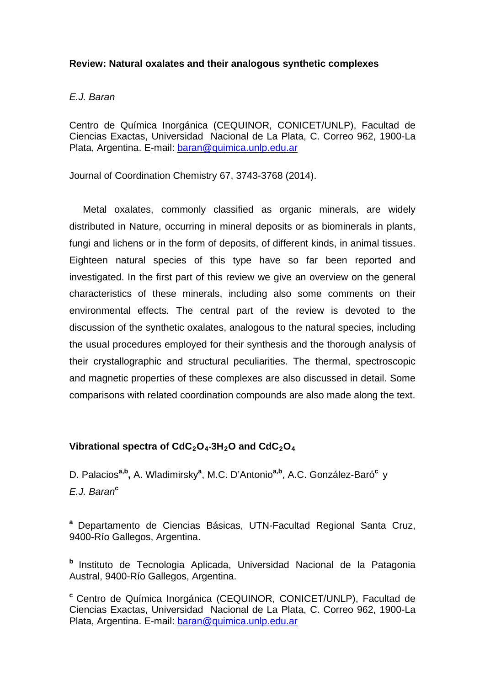#### **Review: Natural oxalates and their analogous synthetic complexes**

#### *E.J. Baran*

Centro de Química Inorgánica (CEQUINOR, CONICET/UNLP), Facultad de Ciencias Exactas, Universidad Nacional de La Plata, C. Correo 962, 1900-La Plata, Argentina, E-mail: baran@guimica.unlp.edu.ar

Journal of Coordination Chemistry 67, 3743-3768 (2014).

 Metal oxalates, commonly classified as organic minerals, are widely distributed in Nature, occurring in mineral deposits or as biominerals in plants, fungi and lichens or in the form of deposits, of different kinds, in animal tissues. Eighteen natural species of this type have so far been reported and investigated. In the first part of this review we give an overview on the general characteristics of these minerals, including also some comments on their environmental effects. The central part of the review is devoted to the discussion of the synthetic oxalates, analogous to the natural species, including the usual procedures employed for their synthesis and the thorough analysis of their crystallographic and structural peculiarities. The thermal, spectroscopic and magnetic properties of these complexes are also discussed in detail. Some comparisons with related coordination compounds are also made along the text.

### **Vibrational spectra of CdC2O4**⋅**3H2O and CdC2O4**

D. Palacios**a,b,** A. Wladimirsky**<sup>a</sup>** , M.C. D'Antonio**a,b**, A.C. González-Baró**<sup>c</sup>**y *E.J. Baran***<sup>c</sup>**

**<sup>a</sup>** Departamento de Ciencias Básicas, UTN-Facultad Regional Santa Cruz, 9400-Río Gallegos, Argentina.

**<sup>b</sup>** Instituto de Tecnologia Aplicada, Universidad Nacional de la Patagonia Austral, 9400-Río Gallegos, Argentina.

**<sup>c</sup>** Centro de Química Inorgánica (CEQUINOR, CONICET/UNLP), Facultad de Ciencias Exactas, Universidad Nacional de La Plata, C. Correo 962, 1900-La Plata, Argentina. E-mail: [baran@quimica.unlp.edu.ar](mailto:baran@quimica.unlp.edu.ar)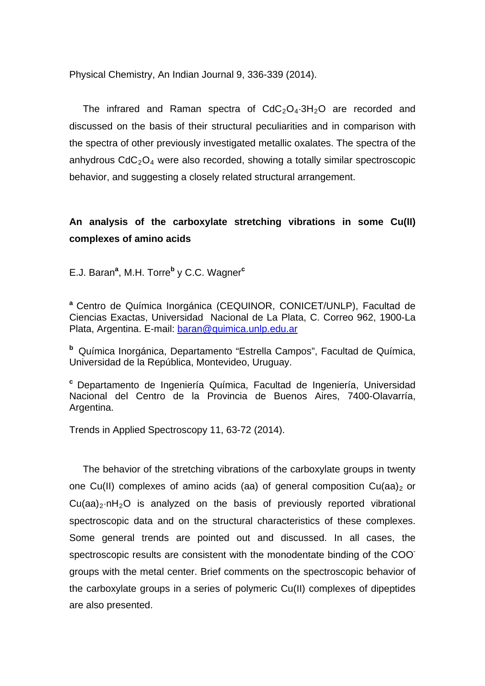Physical Chemistry, An Indian Journal 9, 336-339 (2014).

The infrared and Raman spectra of  $CdC<sub>2</sub>O<sub>4</sub>·3H<sub>2</sub>O$  are recorded and discussed on the basis of their structural peculiarities and in comparison with the spectra of other previously investigated metallic oxalates. The spectra of the anhydrous  $CdC<sub>2</sub>O<sub>4</sub>$  were also recorded, showing a totally similar spectroscopic behavior, and suggesting a closely related structural arrangement.

## **An analysis of the carboxylate stretching vibrations in some Cu(II) complexes of amino acids**

E.J. Baran**<sup>a</sup>** , M.H. Torre**<sup>b</sup>** y C.C. Wagner**<sup>c</sup>**

**<sup>a</sup>** Centro de Química Inorgánica (CEQUINOR, CONICET/UNLP), Facultad de Ciencias Exactas, Universidad Nacional de La Plata, C. Correo 962, 1900-La Plata, Argentina. E-mail: [baran@quimica.unlp.edu.ar](mailto:baran@quimica.unlp.edu.ar)

**<sup>b</sup>** Química Inorgánica, Departamento "Estrella Campos", Facultad de Química, Universidad de la República, Montevideo, Uruguay.

**<sup>c</sup>** Departamento de Ingeniería Química, Facultad de Ingeniería, Universidad Nacional del Centro de la Provincia de Buenos Aires, 7400-Olavarría, Argentina.

Trends in Applied Spectroscopy 11, 63-72 (2014).

 The behavior of the stretching vibrations of the carboxylate groups in twenty one Cu(II) complexes of amino acids (aa) of general composition Cu(aa)<sub>2</sub> or  $Cu(aa)_{2} \cdot nh_{2}O$  is analyzed on the basis of previously reported vibrational spectroscopic data and on the structural characteristics of these complexes. Some general trends are pointed out and discussed. In all cases, the spectroscopic results are consistent with the monodentate binding of the COO groups with the metal center. Brief comments on the spectroscopic behavior of the carboxylate groups in a series of polymeric Cu(II) complexes of dipeptides are also presented.